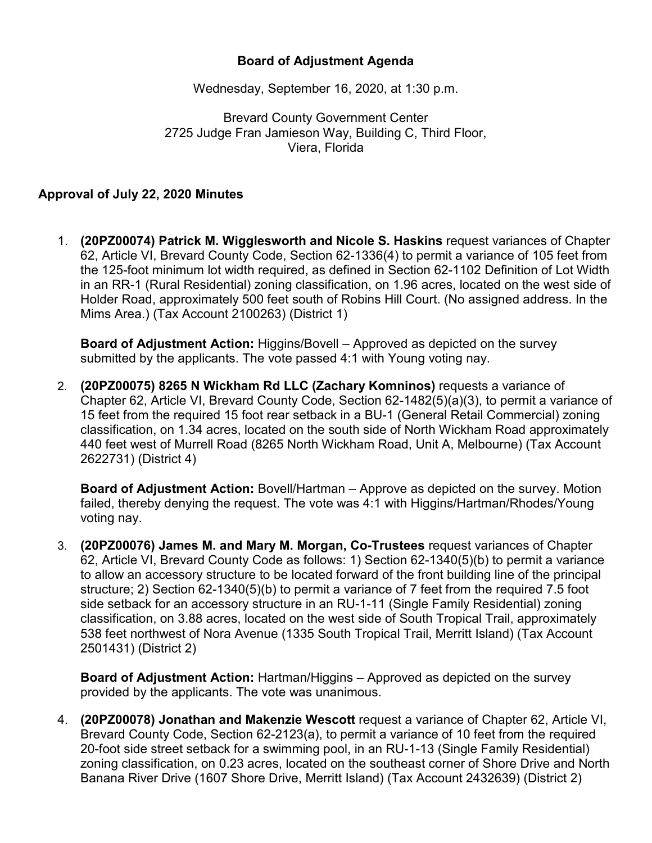## **Board of Adjustment Agenda**

Wednesday, September 16, 2020, at 1:30 p.m.

Brevard County Government Center 2725 Judge Fran Jamieson Way, Building C, Third Floor, Viera, Florida

## **Approval of July 22, 2020 Minutes**

1. **(20PZ00074) Patrick M. Wigglesworth and Nicole S. Haskins** request variances of Chapter 62, Article VI, Brevard County Code, Section 62-1336(4) to permit a variance of 105 feet from the 125-foot minimum lot width required, as defined in Section 62-1102 Definition of Lot Width in an RR-1 (Rural Residential) zoning classification, on 1.96 acres, located on the west side of Holder Road, approximately 500 feet south of Robins Hill Court. (No assigned address. In the Mims Area.) (Tax Account 2100263) (District 1)

**Board of Adjustment Action:** Higgins/Bovell – Approved as depicted on the survey submitted by the applicants. The vote passed 4:1 with Young voting nay.

2. **(20PZ00075) 8265 N Wickham Rd LLC (Zachary Komninos)** requests a variance of Chapter 62, Article VI, Brevard County Code, Section 62-1482(5)(a)(3), to permit a variance of 15 feet from the required 15 foot rear setback in a BU-1 (General Retail Commercial) zoning classification, on 1.34 acres, located on the south side of North Wickham Road approximately 440 feet west of Murrell Road (8265 North Wickham Road, Unit A, Melbourne) (Tax Account 2622731) (District 4)

**Board of Adjustment Action:** Bovell/Hartman – Approve as depicted on the survey. Motion failed, thereby denying the request. The vote was 4:1 with Higgins/Hartman/Rhodes/Young voting nay.

3. **(20PZ00076) James M. and Mary M. Morgan, Co-Trustees** request variances of Chapter 62, Article VI, Brevard County Code as follows: 1) Section 62-1340(5)(b) to permit a variance to allow an accessory structure to be located forward of the front building line of the principal structure; 2) Section 62-1340(5)(b) to permit a variance of 7 feet from the required 7.5 foot side setback for an accessory structure in an RU-1-11 (Single Family Residential) zoning classification, on 3.88 acres, located on the west side of South Tropical Trail, approximately 538 feet northwest of Nora Avenue (1335 South Tropical Trail, Merritt Island) (Tax Account 2501431) (District 2)

**Board of Adjustment Action:** Hartman/Higgins – Approved as depicted on the survey provided by the applicants. The vote was unanimous.

4. **(20PZ00078) Jonathan and Makenzie Wescott** request a variance of Chapter 62, Article VI, Brevard County Code, Section 62-2123(a), to permit a variance of 10 feet from the required 20-foot side street setback for a swimming pool, in an RU-1-13 (Single Family Residential) zoning classification, on 0.23 acres, located on the southeast corner of Shore Drive and North Banana River Drive (1607 Shore Drive, Merritt Island) (Tax Account 2432639) (District 2)